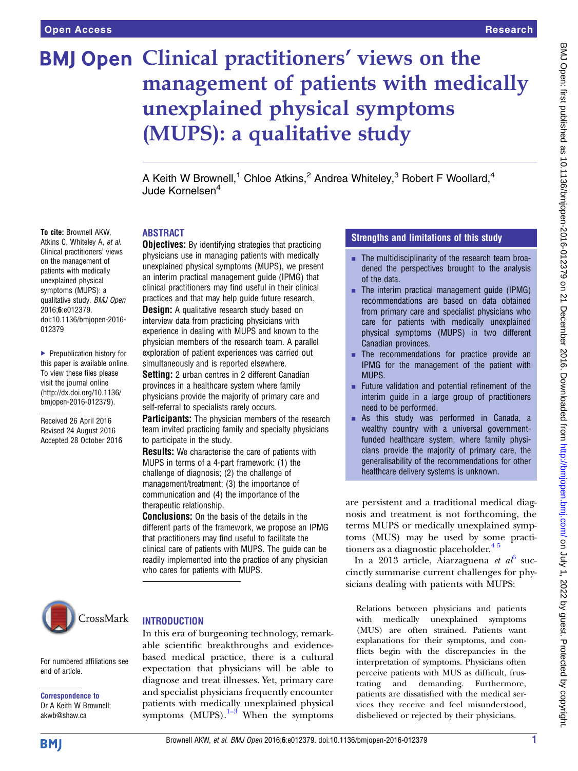# BMJ Open Clinical practitioners' views on the management of patients with medically unexplained physical symptoms (MUPS): a qualitative study

A Keith W Brownell,<sup>1</sup> Chloe Atkins,<sup>2</sup> Andrea Whiteley,<sup>3</sup> Robert F Woollard,<sup>4</sup> Jude Kornelsen<sup>4</sup>

#### ABSTRACT

To cite: Brownell AKW, Atkins C, Whiteley A, et al. Clinical practitioners' views on the management of patients with medically unexplained physical symptoms (MUPS): a qualitative study. BMJ Open 2016;6:e012379. doi:10.1136/bmjopen-2016- 012379

▶ Prepublication history for this paper is available online. To view these files please visit the journal online [\(http://dx.doi.org/10.1136/](http://dx.doi.org/10.1136/bmjopen-2016-012379) [bmjopen-2016-012379](http://dx.doi.org/10.1136/bmjopen-2016-012379)).

Received 26 April 2016 Revised 24 August 2016 Accepted 28 October 2016 **Objectives:** By identifying strategies that practicing physicians use in managing patients with medically unexplained physical symptoms (MUPS), we present an interim practical management guide (IPMG) that clinical practitioners may find useful in their clinical practices and that may help guide future research. **Design:** A qualitative research study based on interview data from practicing physicians with experience in dealing with MUPS and known to the physician members of the research team. A parallel exploration of patient experiences was carried out simultaneously and is reported elsewhere.

Setting: 2 urban centres in 2 different Canadian provinces in a healthcare system where family physicians provide the majority of primary care and self-referral to specialists rarely occurs.

**Participants:** The physician members of the research team invited practicing family and specialty physicians to participate in the study.

**Results:** We characterise the care of patients with MUPS in terms of a 4-part framework: (1) the challenge of diagnosis; (2) the challenge of management/treatment; (3) the importance of communication and (4) the importance of the therapeutic relationship.

**Conclusions:** On the basis of the details in the different parts of the framework, we propose an IPMG that practitioners may find useful to facilitate the clinical care of patients with MUPS. The guide can be readily implemented into the practice of any physician who cares for patients with MUPS.



For numbered affiliations see

#### **INTRODUCTION**

In this era of burgeoning technology, remarkable scientific breakthroughs and evidencebased medical practice, there is a cultural expectation that physicians will be able to diagnose and treat illnesses. Yet, primary care and specialist physicians frequently encounter patients with medi[cally](#page-7-0) unexplained physical symptoms  $(MUPS).^{1-3}$  When the symptoms

#### Strengths and limitations of this study

- $\blacksquare$  The multidisciplinarity of the research team broadened the perspectives brought to the analysis of the data.
- $\blacksquare$  The interim practical management guide (IPMG) recommendations are based on data obtained from primary care and specialist physicians who care for patients with medically unexplained physical symptoms (MUPS) in two different Canadian provinces.
- The recommendations for practice provide an IPMG for the management of the patient with MUPS.
- $\blacksquare$  Future validation and potential refinement of the interim guide in a large group of practitioners need to be performed.
- **Exercise 15 As this study was performed in Canada, a** wealthy country with a universal governmentfunded healthcare system, where family physicians provide the majority of primary care, the generalisability of the recommendations for other healthcare delivery systems is unknown.

are persistent and a traditional medical diagnosis and treatment is not forthcoming, the terms MUPS or medically unexplained symptoms (MUS) may be used by some practitioners as a diagnostic placeholder.<sup>45</sup>

In a 2013 article, Aiarzaguena *et al*<sup>[6](#page-7-0)</sup> succinctly summarise current challenges for physicians dealing with patients with MUPS:

Relations between physicians and patients with medically unexplained symptoms (MUS) are often strained. Patients want explanations for their symptoms, and conflicts begin with the discrepancies in the interpretation of symptoms. Physicians often perceive patients with MUS as difficult, frustrating and demanding. Furthermore, patients are dissatisfied with the medical services they receive and feel misunderstood, disbelieved or rejected by their physicians.

**BMI** 

end of article.

Correspondence to Dr A Keith W Brownell; akwb@shaw.ca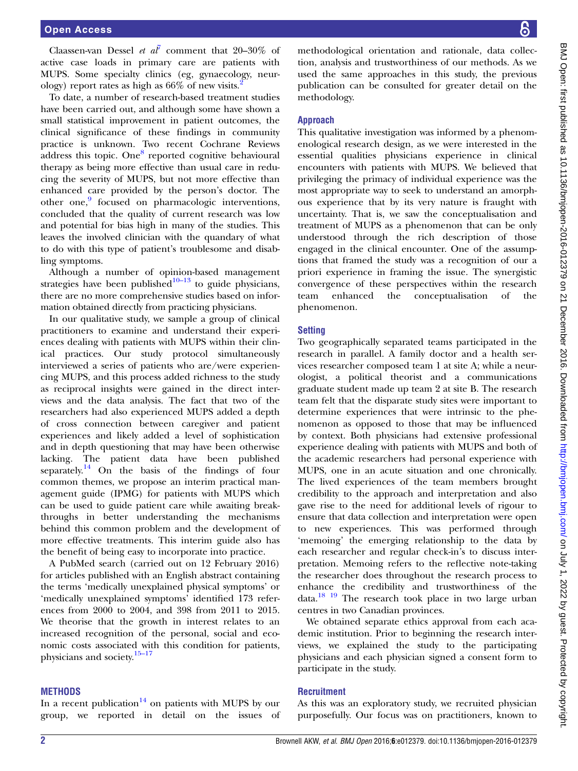Claassen-van Dessel et  $a\bar{l}$  comment that 20–30% of active case loads in primary care are patients with MUPS. Some specialty clinics (eg, gynaecology, neurology) report rates as high as  $66\%$  of new visits.<sup>[2](#page-7-0)</sup>

To date, a number of research-based treatment studies have been carried out, and although some have shown a small statistical improvement in patient outcomes, the clinical significance of these findings in community practice is unknown. Two recent Cochrane Reviews address this topic. One $8$  reported cognitive behavioural therapy as being more effective than usual care in reducing the severity of MUPS, but not more effective than enhanced care provided by the person's doctor. The other one,<sup>[9](#page-7-0)</sup> focused on pharmacologic interventions, concluded that the quality of current research was low and potential for bias high in many of the studies. This leaves the involved clinician with the quandary of what to do with this type of patient's troublesome and disabling symptoms.

Although a number of opinion-based management strategies have been published<sup>10–[13](#page-7-0)</sup> to guide physicians, there are no more comprehensive studies based on information obtained directly from practicing physicians.

In our qualitative study, we sample a group of clinical practitioners to examine and understand their experiences dealing with patients with MUPS within their clinical practices. Our study protocol simultaneously interviewed a series of patients who are/were experiencing MUPS, and this process added richness to the study as reciprocal insights were gained in the direct interviews and the data analysis. The fact that two of the researchers had also experienced MUPS added a depth of cross connection between caregiver and patient experiences and likely added a level of sophistication and in depth questioning that may have been otherwise lacking. The patient data have been published separately.<sup>[14](#page-7-0)</sup> On the basis of the findings of four common themes, we propose an interim practical management guide (IPMG) for patients with MUPS which can be used to guide patient care while awaiting breakthroughs in better understanding the mechanisms behind this common problem and the development of more effective treatments. This interim guide also has the benefit of being easy to incorporate into practice.

A PubMed search (carried out on 12 February 2016) for articles published with an English abstract containing the terms 'medically unexplained physical symptoms' or 'medically unexplained symptoms' identified 173 references from 2000 to 2004, and 398 from 2011 to 2015. We theorise that the growth in interest relates to an increased recognition of the personal, social and economic costs associated with this condition for patients, physicians and society[.15](#page-7-0)–<sup>17</sup>

#### **METHODS**

In a recent publication $^{14}$  $^{14}$  $^{14}$  on patients with MUPS by our group, we reported in detail on the issues of methodological orientation and rationale, data collection, analysis and trustworthiness of our methods. As we used the same approaches in this study, the previous publication can be consulted for greater detail on the methodology.

#### Approach

This qualitative investigation was informed by a phenomenological research design, as we were interested in the essential qualities physicians experience in clinical encounters with patients with MUPS. We believed that privileging the primacy of individual experience was the most appropriate way to seek to understand an amorphous experience that by its very nature is fraught with uncertainty. That is, we saw the conceptualisation and treatment of MUPS as a phenomenon that can be only understood through the rich description of those engaged in the clinical encounter. One of the assumptions that framed the study was a recognition of our a priori experience in framing the issue. The synergistic convergence of these perspectives within the research team enhanced the conceptualisation of the phenomenon.

#### Setting

Two geographically separated teams participated in the research in parallel. A family doctor and a health services researcher composed team 1 at site A; while a neurologist, a political theorist and a communications graduate student made up team 2 at site B. The research team felt that the disparate study sites were important to determine experiences that were intrinsic to the phenomenon as opposed to those that may be influenced by context. Both physicians had extensive professional experience dealing with patients with MUPS and both of the academic researchers had personal experience with MUPS, one in an acute situation and one chronically. The lived experiences of the team members brought credibility to the approach and interpretation and also gave rise to the need for additional levels of rigour to ensure that data collection and interpretation were open to new experiences. This was performed through 'memoing' the emerging relationship to the data by each researcher and regular check-in's to discuss interpretation. Memoing refers to the reflective note-taking the researcher does throughout the research process to enhance the credibility and trustworthiness of the data.[18 19](#page-8-0) The research took place in two large urban centres in two Canadian provinces.

We obtained separate ethics approval from each academic institution. Prior to beginning the research interviews, we explained the study to the participating physicians and each physician signed a consent form to participate in the study.

#### Recruitment

As this was an exploratory study, we recruited physician purposefully. Our focus was on practitioners, known to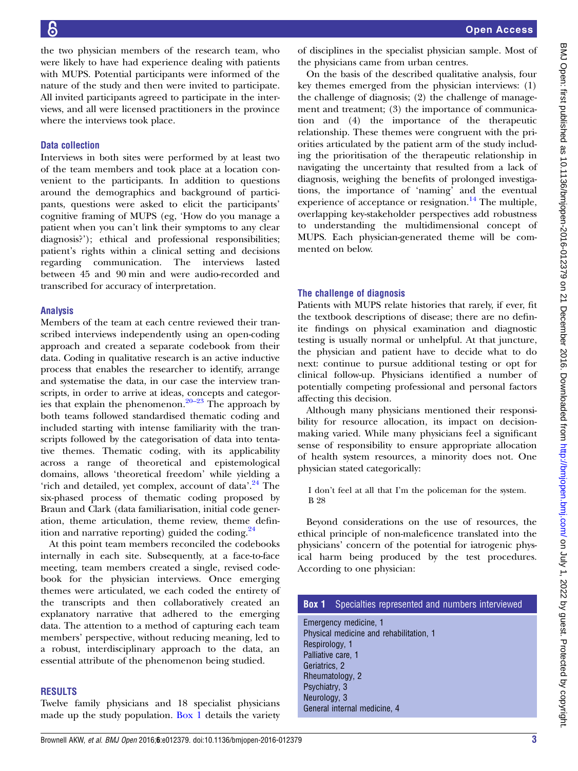the two physician members of the research team, who were likely to have had experience dealing with patients with MUPS. Potential participants were informed of the nature of the study and then were invited to participate. All invited participants agreed to participate in the interviews, and all were licensed practitioners in the province where the interviews took place.

#### Data collection

Interviews in both sites were performed by at least two of the team members and took place at a location convenient to the participants. In addition to questions around the demographics and background of participants, questions were asked to elicit the participants' cognitive framing of MUPS (eg, 'How do you manage a patient when you can't link their symptoms to any clear diagnosis?'); ethical and professional responsibilities; patient's rights within a clinical setting and decisions regarding communication. The interviews lasted between 45 and 90 min and were audio-recorded and transcribed for accuracy of interpretation.

#### Analysis

Members of the team at each centre reviewed their transcribed interviews independently using an open-coding approach and created a separate codebook from their data. Coding in qualitative research is an active inductive process that enables the researcher to identify, arrange and systematise the data, in our case the interview transcripts, in order to arrive at ideas, concepts and categories that explain the phenomenon.<sup>20–23</sup> The approach by both teams followed standardised thematic coding and included starting with intense familiarity with the transcripts followed by the categorisation of data into tentative themes. Thematic coding, with its applicability across a range of theoretical and epistemological domains, allows 'theoretical freedom' while yielding a 'rich and detailed, yet complex, account of data'.<sup>[24](#page-8-0)</sup> The six-phased process of thematic coding proposed by Braun and Clark (data familiarisation, initial code generation, theme articulation, theme review, theme definition and narrative reporting) guided the coding. $24$ 

At this point team members reconciled the codebooks internally in each site. Subsequently, at a face-to-face meeting, team members created a single, revised codebook for the physician interviews. Once emerging themes were articulated, we each coded the entirety of the transcripts and then collaboratively created an explanatory narrative that adhered to the emerging data. The attention to a method of capturing each team members' perspective, without reducing meaning, led to a robust, interdisciplinary approach to the data, an essential attribute of the phenomenon being studied.

#### RESULTS

Twelve family physicians and 18 specialist physicians made up the study population. Box 1 details the variety of disciplines in the specialist physician sample. Most of the physicians came from urban centres.

On the basis of the described qualitative analysis, four key themes emerged from the physician interviews: (1) the challenge of diagnosis; (2) the challenge of management and treatment; (3) the importance of communication and (4) the importance of the therapeutic relationship. These themes were congruent with the priorities articulated by the patient arm of the study including the prioritisation of the therapeutic relationship in navigating the uncertainty that resulted from a lack of diagnosis, weighing the benefits of prolonged investigations, the importance of 'naming' and the eventual experience of acceptance or resignation. $^{14}$  $^{14}$  $^{14}$  The multiple, overlapping key-stakeholder perspectives add robustness to understanding the multidimensional concept of MUPS. Each physician-generated theme will be commented on below.

### The challenge of diagnosis

Patients with MUPS relate histories that rarely, if ever, fit the textbook descriptions of disease; there are no definite findings on physical examination and diagnostic testing is usually normal or unhelpful. At that juncture, the physician and patient have to decide what to do next: continue to pursue additional testing or opt for clinical follow-up. Physicians identified a number of potentially competing professional and personal factors affecting this decision.

Although many physicians mentioned their responsibility for resource allocation, its impact on decisionmaking varied. While many physicians feel a significant sense of responsibility to ensure appropriate allocation of health system resources, a minority does not. One physician stated categorically:

I don't feel at all that I'm the policeman for the system. B 28

Beyond considerations on the use of resources, the ethical principle of non-maleficence translated into the physicians' concern of the potential for iatrogenic physical harm being produced by the test procedures. According to one physician:

#### **Box 1** Specialties represented and numbers interviewed

Emergency medicine, 1 Physical medicine and rehabilitation, 1 Respirology, 1 Palliative care, 1 Geriatrics, 2 Rheumatology, 2 Psychiatry, 3 Neurology, 3 General internal medicine, 4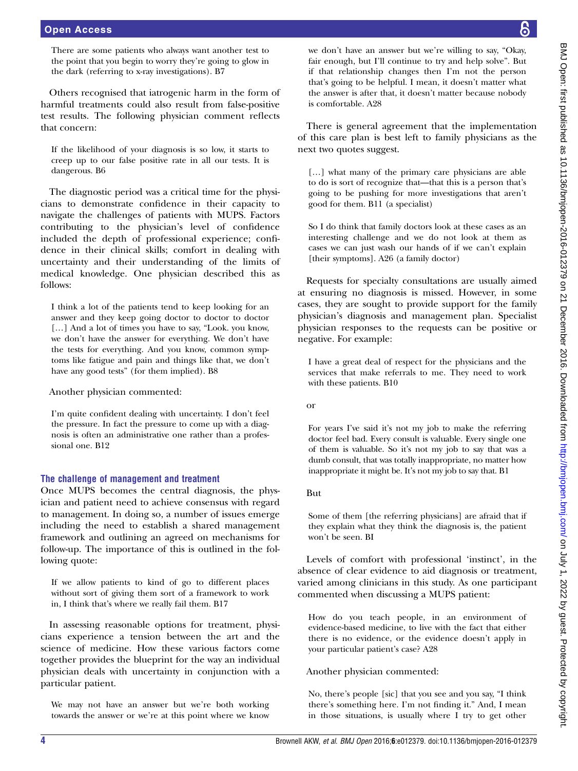There are some patients who always want another test to the point that you begin to worry they're going to glow in the dark (referring to x-ray investigations). B7

Others recognised that iatrogenic harm in the form of harmful treatments could also result from false-positive test results. The following physician comment reflects that concern:

If the likelihood of your diagnosis is so low, it starts to creep up to our false positive rate in all our tests. It is dangerous. B6

The diagnostic period was a critical time for the physicians to demonstrate confidence in their capacity to navigate the challenges of patients with MUPS. Factors contributing to the physician's level of confidence included the depth of professional experience; confidence in their clinical skills; comfort in dealing with uncertainty and their understanding of the limits of medical knowledge. One physician described this as follows:

I think a lot of the patients tend to keep looking for an answer and they keep going doctor to doctor to doctor [...] And a lot of times you have to say, "Look. you know, we don't have the answer for everything. We don't have the tests for everything. And you know, common symptoms like fatigue and pain and things like that, we don't have any good tests" (for them implied). B8

Another physician commented:

I'm quite confident dealing with uncertainty. I don't feel the pressure. In fact the pressure to come up with a diagnosis is often an administrative one rather than a professional one. B12

#### The challenge of management and treatment

Once MUPS becomes the central diagnosis, the physician and patient need to achieve consensus with regard to management. In doing so, a number of issues emerge including the need to establish a shared management framework and outlining an agreed on mechanisms for follow-up. The importance of this is outlined in the following quote:

If we allow patients to kind of go to different places without sort of giving them sort of a framework to work in, I think that's where we really fail them. B17

In assessing reasonable options for treatment, physicians experience a tension between the art and the science of medicine. How these various factors come together provides the blueprint for the way an individual physician deals with uncertainty in conjunction with a particular patient.

We may not have an answer but we're both working towards the answer or we're at this point where we know we don't have an answer but we're willing to say, "Okay, fair enough, but I'll continue to try and help solve". But if that relationship changes then I'm not the person that's going to be helpful. I mean, it doesn't matter what the answer is after that, it doesn't matter because nobody is comfortable. A28

There is general agreement that the implementation of this care plan is best left to family physicians as the next two quotes suggest.

[...] what many of the primary care physicians are able to do is sort of recognize that—that this is a person that's going to be pushing for more investigations that aren't good for them. B11 (a specialist)

So I do think that family doctors look at these cases as an interesting challenge and we do not look at them as cases we can just wash our hands of if we can't explain [their symptoms]. A26 (a family doctor)

Requests for specialty consultations are usually aimed at ensuring no diagnosis is missed. However, in some cases, they are sought to provide support for the family physician's diagnosis and management plan. Specialist physician responses to the requests can be positive or negative. For example:

I have a great deal of respect for the physicians and the services that make referrals to me. They need to work with these patients. B10

or

For years I've said it's not my job to make the referring doctor feel bad. Every consult is valuable. Every single one of them is valuable. So it's not my job to say that was a dumb consult, that was totally inappropriate, no matter how inappropriate it might be. It's not my job to say that. B1

But

Some of them [the referring physicians] are afraid that if they explain what they think the diagnosis is, the patient won't be seen. BI

Levels of comfort with professional 'instinct', in the absence of clear evidence to aid diagnosis or treatment, varied among clinicians in this study. As one participant commented when discussing a MUPS patient:

How do you teach people, in an environment of evidence-based medicine, to live with the fact that either there is no evidence, or the evidence doesn't apply in your particular patient's case? A28

#### Another physician commented:

No, there's people [sic] that you see and you say, "I think there's something here. I'm not finding it." And, I mean in those situations, is usually where I try to get other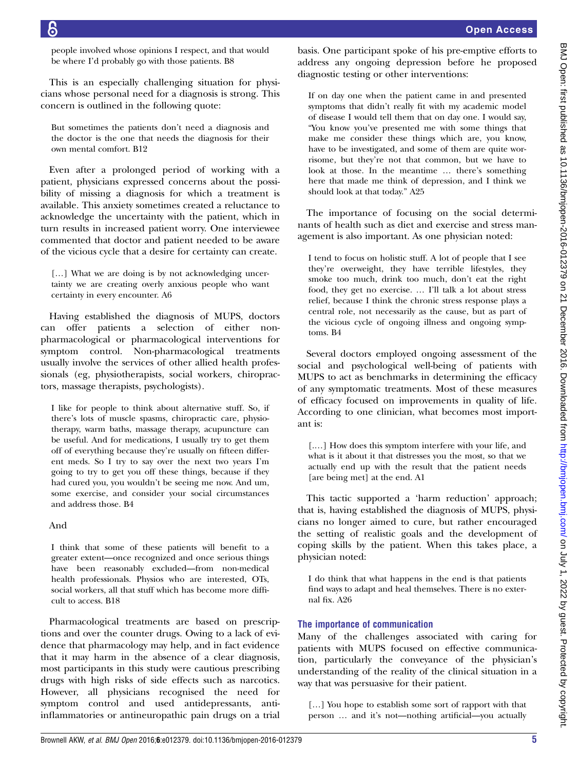people involved whose opinions I respect, and that would be where I'd probably go with those patients. B8

This is an especially challenging situation for physicians whose personal need for a diagnosis is strong. This concern is outlined in the following quote:

But sometimes the patients don't need a diagnosis and the doctor is the one that needs the diagnosis for their own mental comfort. B12

Even after a prolonged period of working with a patient, physicians expressed concerns about the possibility of missing a diagnosis for which a treatment is available. This anxiety sometimes created a reluctance to acknowledge the uncertainty with the patient, which in turn results in increased patient worry. One interviewee commented that doctor and patient needed to be aware of the vicious cycle that a desire for certainty can create.

[...] What we are doing is by not acknowledging uncertainty we are creating overly anxious people who want certainty in every encounter. A6

Having established the diagnosis of MUPS, doctors can offer patients a selection of either nonpharmacological or pharmacological interventions for symptom control. Non-pharmacological treatments usually involve the services of other allied health professionals (eg, physiotherapists, social workers, chiropractors, massage therapists, psychologists).

I like for people to think about alternative stuff. So, if there's lots of muscle spasms, chiropractic care, physiotherapy, warm baths, massage therapy, acupuncture can be useful. And for medications, I usually try to get them off of everything because they're usually on fifteen different meds. So I try to say over the next two years I'm going to try to get you off these things, because if they had cured you, you wouldn't be seeing me now. And um, some exercise, and consider your social circumstances and address those. B4

#### And

I think that some of these patients will benefit to a greater extent—once recognized and once serious things have been reasonably excluded—from non-medical health professionals. Physios who are interested, OTs, social workers, all that stuff which has become more difficult to access. B18

Pharmacological treatments are based on prescriptions and over the counter drugs. Owing to a lack of evidence that pharmacology may help, and in fact evidence that it may harm in the absence of a clear diagnosis, most participants in this study were cautious prescribing drugs with high risks of side effects such as narcotics. However, all physicians recognised the need for symptom control and used antidepressants, antiinflammatories or antineuropathic pain drugs on a trial

basis. One participant spoke of his pre-emptive efforts to address any ongoing depression before he proposed diagnostic testing or other interventions:

If on day one when the patient came in and presented symptoms that didn't really fit with my academic model of disease I would tell them that on day one. I would say, "You know you've presented me with some things that make me consider these things which are, you know, have to be investigated, and some of them are quite worrisome, but they're not that common, but we have to look at those. In the meantime … there's something here that made me think of depression, and I think we should look at that today." A25

The importance of focusing on the social determinants of health such as diet and exercise and stress management is also important. As one physician noted:

I tend to focus on holistic stuff. A lot of people that I see they're overweight, they have terrible lifestyles, they smoke too much, drink too much, don't eat the right food, they get no exercise. … I'll talk a lot about stress relief, because I think the chronic stress response plays a central role, not necessarily as the cause, but as part of the vicious cycle of ongoing illness and ongoing symptoms. B4

Several doctors employed ongoing assessment of the social and psychological well-being of patients with MUPS to act as benchmarks in determining the efficacy of any symptomatic treatments. Most of these measures of efficacy focused on improvements in quality of life. According to one clinician, what becomes most important is:

[....] How does this symptom interfere with your life, and what is it about it that distresses you the most, so that we actually end up with the result that the patient needs [are being met] at the end. A1

This tactic supported a 'harm reduction' approach; that is, having established the diagnosis of MUPS, physicians no longer aimed to cure, but rather encouraged the setting of realistic goals and the development of coping skills by the patient. When this takes place, a physician noted:

I do think that what happens in the end is that patients find ways to adapt and heal themselves. There is no external fix. A26

#### The importance of communication

Many of the challenges associated with caring for patients with MUPS focused on effective communication, particularly the conveyance of the physician's understanding of the reality of the clinical situation in a way that was persuasive for their patient.

[...] You hope to establish some sort of rapport with that person … and it's not—nothing artificial—you actually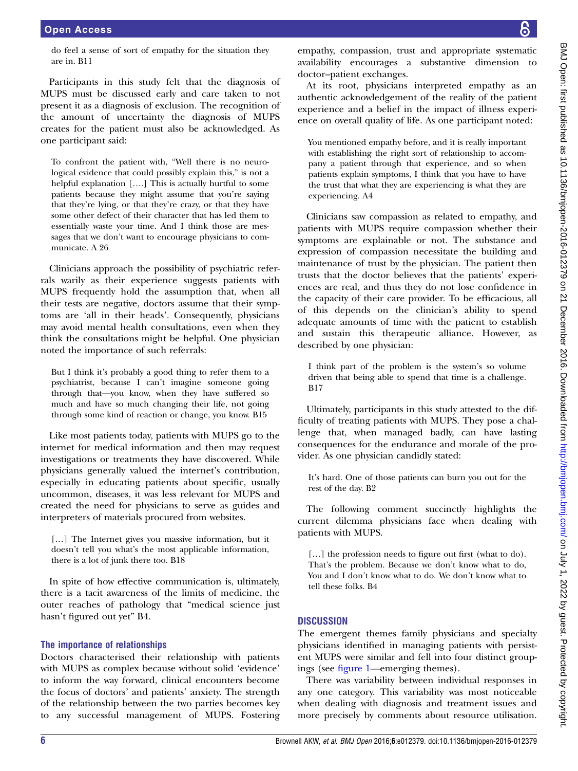do feel a sense of sort of empathy for the situation they are in. B11

Participants in this study felt that the diagnosis of MUPS must be discussed early and care taken to not present it as a diagnosis of exclusion. The recognition of the amount of uncertainty the diagnosis of MUPS creates for the patient must also be acknowledged. As one participant said:

To confront the patient with, "Well there is no neurological evidence that could possibly explain this," is not a helpful explanation [....] This is actually hurtful to some patients because they might assume that you're saying that they're lying, or that they're crazy, or that they have some other defect of their character that has led them to essentially waste your time. And I think those are messages that we don't want to encourage physicians to communicate. A 26

Clinicians approach the possibility of psychiatric referrals warily as their experience suggests patients with MUPS frequently hold the assumption that, when all their tests are negative, doctors assume that their symptoms are 'all in their heads'. Consequently, physicians may avoid mental health consultations, even when they think the consultations might be helpful. One physician noted the importance of such referrals:

But I think it's probably a good thing to refer them to a psychiatrist, because I can't imagine someone going through that—you know, when they have suffered so much and have so much changing their life, not going through some kind of reaction or change, you know. B15

Like most patients today, patients with MUPS go to the internet for medical information and then may request investigations or treatments they have discovered. While physicians generally valued the internet's contribution, especially in educating patients about specific, usually uncommon, diseases, it was less relevant for MUPS and created the need for physicians to serve as guides and interpreters of materials procured from websites.

[...] The Internet gives you massive information, but it doesn't tell you what's the most applicable information, there is a lot of junk there too. B18

In spite of how effective communication is, ultimately, there is a tacit awareness of the limits of medicine, the outer reaches of pathology that "medical science just hasn't figured out yet" B4.

#### The importance of relationships

Doctors characterised their relationship with patients with MUPS as complex because without solid 'evidence' to inform the way forward, clinical encounters become the focus of doctors' and patients' anxiety. The strength of the relationship between the two parties becomes key to any successful management of MUPS. Fostering

empathy, compassion, trust and appropriate systematic availability encourages a substantive dimension to doctor–patient exchanges.

At its root, physicians interpreted empathy as an authentic acknowledgement of the reality of the patient experience and a belief in the impact of illness experience on overall quality of life. As one participant noted:

You mentioned empathy before, and it is really important with establishing the right sort of relationship to accompany a patient through that experience, and so when patients explain symptoms, I think that you have to have the trust that what they are experiencing is what they are experiencing. A4

Clinicians saw compassion as related to empathy, and patients with MUPS require compassion whether their symptoms are explainable or not. The substance and expression of compassion necessitate the building and maintenance of trust by the physician. The patient then trusts that the doctor believes that the patients' experiences are real, and thus they do not lose confidence in the capacity of their care provider. To be efficacious, all of this depends on the clinician's ability to spend adequate amounts of time with the patient to establish and sustain this therapeutic alliance. However, as described by one physician:

I think part of the problem is the system's so volume driven that being able to spend that time is a challenge. B17

Ultimately, participants in this study attested to the difficulty of treating patients with MUPS. They pose a challenge that, when managed badly, can have lasting consequences for the endurance and morale of the provider. As one physician candidly stated:

It's hard. One of those patients can burn you out for the rest of the day. B2

The following comment succinctly highlights the current dilemma physicians face when dealing with patients with MUPS.

[...] the profession needs to figure out first (what to do). That's the problem. Because we don't know what to do, You and I don't know what to do. We don't know what to tell these folks. B4

#### **DISCUSSION**

The emergent themes family physicians and specialty physicians identified in managing patients with persistent MUPS were similar and fell into four distinct groupings (see fi[gure 1](#page-6-0)—emerging themes).

There was variability between individual responses in any one category. This variability was most noticeable when dealing with diagnosis and treatment issues and more precisely by comments about resource utilisation.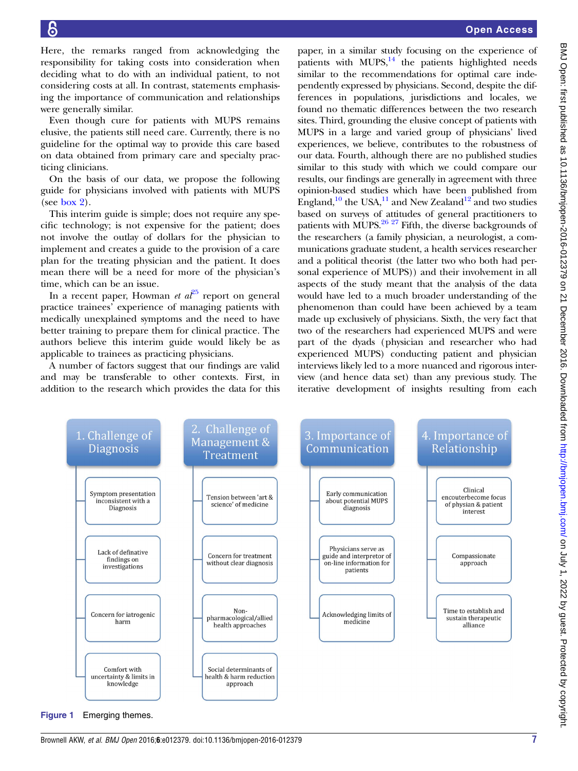<span id="page-6-0"></span>Here, the remarks ranged from acknowledging the responsibility for taking costs into consideration when deciding what to do with an individual patient, to not considering costs at all. In contrast, statements emphasising the importance of communication and relationships were generally similar.

Even though cure for patients with MUPS remains elusive, the patients still need care. Currently, there is no guideline for the optimal way to provide this care based on data obtained from primary care and specialty practicing clinicians.

On the basis of our data, we propose the following guide for physicians involved with patients with MUPS (see [box 2](#page-7-0)).

This interim guide is simple; does not require any specific technology; is not expensive for the patient; does not involve the outlay of dollars for the physician to implement and creates a guide to the provision of a care plan for the treating physician and the patient. It does mean there will be a need for more of the physician's time, which can be an issue.

In a recent paper, Howman *et al*<sup>[25](#page-8-0)</sup> report on general practice trainees' experience of managing patients with medically unexplained symptoms and the need to have better training to prepare them for clinical practice. The authors believe this interim guide would likely be as applicable to trainees as practicing physicians.

A number of factors suggest that our findings are valid and may be transferable to other contexts. First, in addition to the research which provides the data for this

paper, in a similar study focusing on the experience of patients with  $MUPS$ ,<sup>[14](#page-7-0)</sup> the patients highlighted needs similar to the recommendations for optimal care independently expressed by physicians. Second, despite the differences in populations, jurisdictions and locales, we found no thematic differences between the two research sites. Third, grounding the elusive concept of patients with MUPS in a large and varied group of physicians' lived experiences, we believe, contributes to the robustness of our data. Fourth, although there are no published studies similar to this study with which we could compare our results, our findings are generally in agreement with three opinion-based studies which have been published from England,<sup>10</sup> the USA,<sup>11</sup> and New Zealand<sup>12</sup> and two studies based on surveys of attitudes of general practitioners to patients with MUPS.<sup>[26 27](#page-8-0)</sup> Fifth, the diverse backgrounds of the researchers (a family physician, a neurologist, a communications graduate student, a health services researcher and a political theorist (the latter two who both had personal experience of MUPS)) and their involvement in all aspects of the study meant that the analysis of the data would have led to a much broader understanding of the phenomenon than could have been achieved by a team made up exclusively of physicians. Sixth, the very fact that two of the researchers had experienced MUPS and were part of the dyads (physician and researcher who had experienced MUPS) conducting patient and physician interviews likely led to a more nuanced and rigorous interview (and hence data set) than any previous study. The iterative development of insights resulting from each



Figure 1 Emerging themes.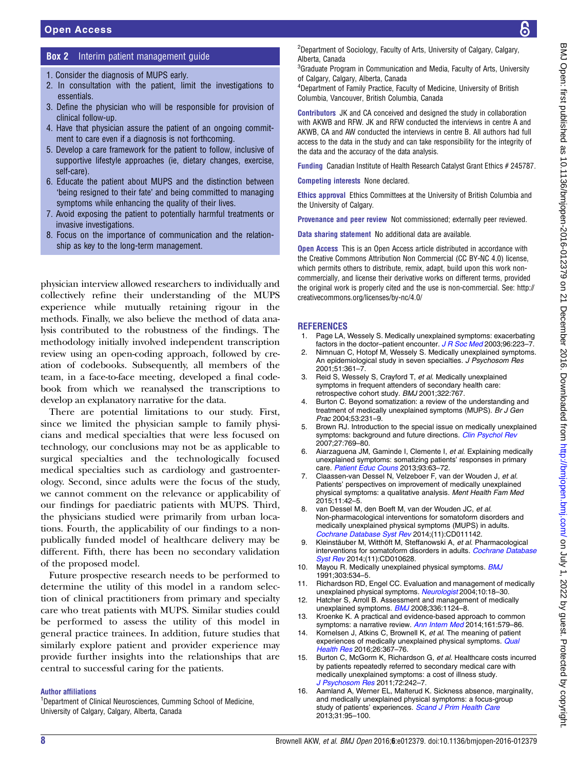### <span id="page-7-0"></span>**Box 2** Interim patient management quide

- 1. Consider the diagnosis of MUPS early.
- 2. In consultation with the patient, limit the investigations to essentials.
- 3. Define the physician who will be responsible for provision of clinical follow-up.
- 4. Have that physician assure the patient of an ongoing commitment to care even if a diagnosis is not forthcoming.
- 5. Develop a care framework for the patient to follow, inclusive of supportive lifestyle approaches (ie, dietary changes, exercise, self-care).
- 6. Educate the patient about MUPS and the distinction between 'being resigned to their fate' and being committed to managing symptoms while enhancing the quality of their lives.
- 7. Avoid exposing the patient to potentially harmful treatments or invasive investigations.
- 8. Focus on the importance of communication and the relationship as key to the long-term management.

physician interview allowed researchers to individually and collectively refine their understanding of the MUPS experience while mutually retaining rigour in the methods. Finally, we also believe the method of data analysis contributed to the robustness of the findings. The methodology initially involved independent transcription review using an open-coding approach, followed by creation of codebooks. Subsequently, all members of the team, in a face-to-face meeting, developed a final codebook from which we reanalysed the transcriptions to develop an explanatory narrative for the data.

There are potential limitations to our study. First, since we limited the physician sample to family physicians and medical specialties that were less focused on technology, our conclusions may not be as applicable to surgical specialties and the technologically focused medical specialties such as cardiology and gastroenterology. Second, since adults were the focus of the study, we cannot comment on the relevance or applicability of our findings for paediatric patients with MUPS. Third, the physicians studied were primarily from urban locations. Fourth, the applicability of our findings to a nonpublically funded model of healthcare delivery may be different. Fifth, there has been no secondary validation of the proposed model.

Future prospective research needs to be performed to determine the utility of this model in a random selection of clinical practitioners from primary and specialty care who treat patients with MUPS. Similar studies could be performed to assess the utility of this model in general practice trainees. In addition, future studies that similarly explore patient and provider experience may provide further insights into the relationships that are central to successful caring for the patients.

#### Author affiliations

<sup>1</sup>Department of Clinical Neurosciences, Cumming School of Medicine, University of Calgary, Calgary, Alberta, Canada

<sup>2</sup>Department of Sociology, Faculty of Arts, University of Calgary, Calgary, Alberta, Canada

<sup>3</sup>Graduate Program in Communication and Media, Faculty of Arts, University of Calgary, Calgary, Alberta, Canada

<sup>4</sup>Department of Family Practice, Faculty of Medicine, University of British Columbia, Vancouver, British Columbia, Canada

Contributors JK and CA conceived and designed the study in collaboration with AKWB and RFW. JK and RFW conducted the interviews in centre A and AKWB, CA and AW conducted the interviews in centre B. All authors had full access to the data in the study and can take responsibility for the integrity of the data and the accuracy of the data analysis.

Funding Canadian Institute of Health Research Catalyst Grant Ethics # 245787.

Competing interests None declared.

Ethics approval Ethics Committees at the University of British Columbia and the University of Calgary.

Provenance and peer review Not commissioned; externally peer reviewed.

Data sharing statement No additional data are available.

**Open Access** This is an Open Access article distributed in accordance with the Creative Commons Attribution Non Commercial (CC BY-NC 4.0) license, which permits others to distribute, remix, adapt, build upon this work noncommercially, and license their derivative works on different terms, provided the original work is properly cited and the use is non-commercial. See: [http://](http://creativecommons.org/licenses/by-nc/4.0/) [creativecommons.org/licenses/by-nc/4.0/](http://creativecommons.org/licenses/by-nc/4.0/)

#### **REFERENCES**

- Page LA, Wessely S. Medically unexplained symptoms: exacerbating factors in the doctor–patient encounter.  $JR$  Soc Med 2003;96:223–7.
- 2. Nimnuan C, Hotopf M, Wessely S. Medically unexplained symptoms. An epidemiological study in seven specialties. J Psychosom Res 2001;51:361–7.
- 3. Reid S, Wessely S, Crayford T, et al. Medically unexplained symptoms in frequent attenders of secondary health care: retrospective cohort study. BMJ 2001;322:767.
- 4. Burton C. Beyond somatization: a review of the understanding and treatment of medically unexplained symptoms (MUPS). Br J Gen Prac 2004;53:231–9.
- 5. Brown RJ. Introduction to the special issue on medically unexplained symptoms: background and future directions. [Clin Psychol Rev](http://dx.doi.org/10.1016/j.cpr.2007.07.003) 2007;27:769–80.
- 6. Aiarzaguena JM, Gaminde I, Clemente I, et al. Explaining medically unexplained symptoms: somatizing patients' responses in primary care. [Patient Educ Couns](http://dx.doi.org/10.1016/j.pec.2013.05.013) 2013;93:63–72.
- 7. Claassen-van Dessel N, Velzeboer F, van der Wouden J, et al. Patients' perspectives on improvement of medically unexplained physical symptoms: a qualitative analysis. Ment Health Fam Med 2015;11:42–5.
- van Dessel M, den Boeft M, van der Wouden JC, et al. Non-pharmacological interventions for somatoform disorders and medically unexplained physical symptoms (MUPS) in adults. [Cochrane Database Syst Rev](http://dx.doi.org/10.1002/14651858.CD011142.pub2) 2014;(11):CD011142.
- Kleinstäuber M, Witthöft M, Steffanowski A, et al. Pharmacological interventions for somatoform disorders in adults. [Cochrane Database](http://dx.doi.org/10.1002/14651858.CD010628.pub2) [Syst Rev](http://dx.doi.org/10.1002/14651858.CD010628.pub2) 2014;(11):CD010628.
- 10. Mayou R. Medically unexplained physical symptoms. [BMJ](http://dx.doi.org/10.1136/bmj.303.6802.534) 1991;303:534–5.
- 11. Richardson RD, Engel CC. Evaluation and management of medically unexplained physical symptoms. [Neurologist](http://dx.doi.org/10.1097/01.nrl.0000106921.76055.24) 2004;10:18-30.
- 12. Hatcher S, Arroll B. Assessment and management of medically unexplained symptoms. **[BMJ](http://dx.doi.org/10.1136/bmj.39554.592014.BE)** 2008;336:1124-8.
- 13. Kroenke K. A practical and evidence-based approach to common symptoms: a narrative review. [Ann Intern Med](http://dx.doi.org/10.7326/M14-0461) 2014:161:579-86.
- 14. Kornelsen J, Atkins C, Brownell K, et al. The meaning of patient experiences of medically unexplained physical symptoms. [Qual](http://dx.doi.org/10.1177/1049732314566326) [Health Res](http://dx.doi.org/10.1177/1049732314566326) 2016;26:367–76.
- 15. Burton C, McGorm K, Richardson G, et al. Healthcare costs incurred by patients repeatedly referred to secondary medical care with medically unexplained symptoms: a cost of illness study. [J Psychosom Res](http://dx.doi.org/10.1016/j.jpsychores.2011.12.009) 2011;72:242–7.
- Aamland A, Werner EL, Malterud K. Sickness absence, marginality, and medically unexplained physical symptoms: a focus-group study of patients' experiences. [Scand J Prim Health Care](http://dx.doi.org/10.3109/02813432.2013.788274) 2013;31:95–100.